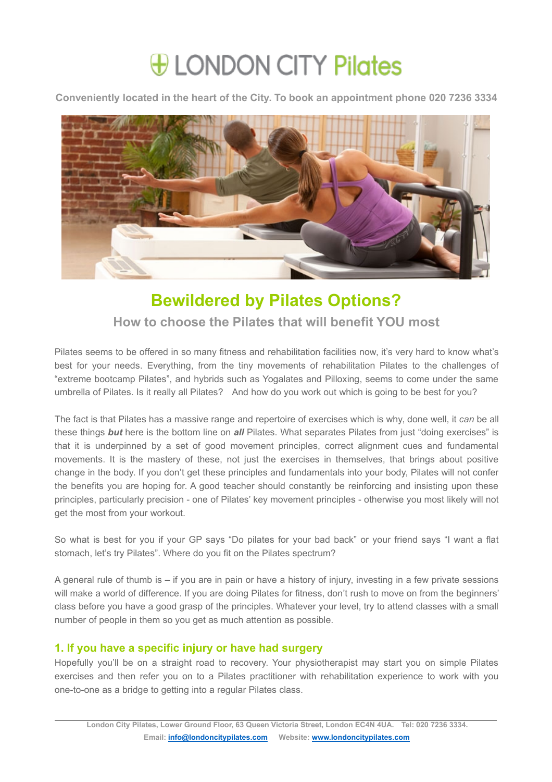# *Heta* LONDON CITY Pilates

**Conveniently located in the heart of the City. To book an appointment phone 020 7236 3334**



# **Bewildered by Pilates Options?**

## **How to choose the Pilates that will benefit YOU most**

Pilates seems to be offered in so many fitness and rehabilitation facilities now, it's very hard to know what's best for your needs. Everything, from the tiny movements of rehabilitation Pilates to the challenges of "extreme bootcamp Pilates", and hybrids such as Yogalates and Pilloxing, seems to come under the same umbrella of Pilates. Is it really all Pilates? And how do you work out which is going to be best for you?

The fact is that Pilates has a massive range and repertoire of exercises which iswhy, done well, it *can* be all these things **but** here is the bottom line on *all* Pilates. What separates Pilates from just "doing exercises" is that it is underpinned by a set of good movement principles, correct alignment cues and fundamental movements. It is the mastery of these, not just the exercises in themselves, that brings about positive change in the body. If you don't get these principles and fundamentals into your body, Pilates will not confer the benefits you are hoping for. A good teacher should constantly be reinforcing and insisting upon these principles, particularly precision - one of Pilates' key movement principles - otherwise you most likely will not get the most from your workout.

So what is best for you if your GP says "Do pilates for your bad back" or your friend says "I want a flat stomach, let's try Pilates". Where do you fit on the Pilates spectrum?

A general rule of thumb is – if you are in pain or have a history ofinjury, investing in a few private sessions will make a world of difference. If you are doing Pilates for fitness, don't rush to move on from the beginners' class before you have a good grasp of the principles. Whatever your level, try to attend classes with a small number of people in them so you get as much attention as possible.

### **1. If you have a specific injury or have had surgery**

Hopefully you'll be on a straight road to recovery. Your physiotherapist may start you on simple Pilates exercises and then refer you on to a Pilates practitioner with rehabilitation experience to work with you one-to-one as a bridge to getting into a regular Pilates class.